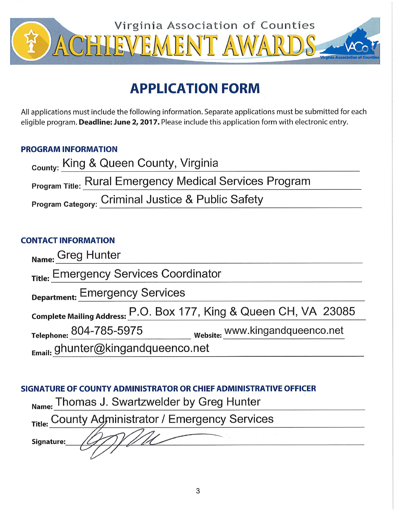

# **APPLICATION FORM**

All applications must include the following information. Separate applications must be submitted for each eligible program. Deadline: June 2, 2017. Please include this application form with electronic entry.

## **PROGRAM INFORMATION**

| <sub>county:</sub> King & Queen County, Virginia               |
|----------------------------------------------------------------|
| <b>Program Title: Rural Emergency Medical Services Program</b> |
| Program Category: Criminal Justice & Public Safety             |

#### **CONTACT INFORMATION**

| Name: Greg Hunter                                                 |                                 |  |
|-------------------------------------------------------------------|---------------------------------|--|
| Title: Emergency Services Coordinator                             |                                 |  |
| <b>Department: Emergency Services</b>                             |                                 |  |
| Complete Mailing Address: P.O. Box 177, King & Queen CH, VA 23085 |                                 |  |
| Telephone: 804-785-5975                                           | website: www.kingandqueenco.net |  |
| Email: ghunter@kingandqueenco.net                                 |                                 |  |

## SIGNATURE OF COUNTY ADMINISTRATOR OR CHIEF ADMINISTRATIVE OFFICER

| Name: Thomas J. Swartzwelder by Greg Hunter      |  |
|--------------------------------------------------|--|
| Title: County Administrator / Emergency Services |  |
| Signature:                                       |  |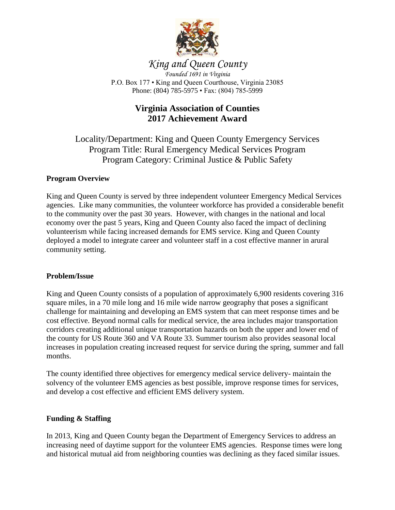

## *King and Queen County*

*Founded 1691 in Virginia* P.O. Box 177 • King and Queen Courthouse, Virginia 23085 Phone: (804) 785-5975 • Fax: (804) 785-5999

## **Virginia Association of Counties 2017 Achievement Award**

Locality/Department: King and Queen County Emergency Services Program Title: Rural Emergency Medical Services Program Program Category: Criminal Justice & Public Safety

#### **Program Overview**

King and Queen County is served by three independent volunteer Emergency Medical Services agencies. Like many communities, the volunteer workforce has provided a considerable benefit to the community over the past 30 years. However, with changes in the national and local economy over the past 5 years, King and Queen County also faced the impact of declining volunteerism while facing increased demands for EMS service. King and Queen County deployed a model to integrate career and volunteer staff in a cost effective manner in arural community setting.

#### **Problem/Issue**

King and Queen County consists of a population of approximately 6,900 residents covering 316 square miles, in a 70 mile long and 16 mile wide narrow geography that poses a significant challenge for maintaining and developing an EMS system that can meet response times and be cost effective. Beyond normal calls for medical service, the area includes major transportation corridors creating additional unique transportation hazards on both the upper and lower end of the county for US Route 360 and VA Route 33. Summer tourism also provides seasonal local increases in population creating increased request for service during the spring, summer and fall months.

The county identified three objectives for emergency medical service delivery- maintain the solvency of the volunteer EMS agencies as best possible, improve response times for services, and develop a cost effective and efficient EMS delivery system.

#### **Funding & Staffing**

In 2013, King and Queen County began the Department of Emergency Services to address an increasing need of daytime support for the volunteer EMS agencies. Response times were long and historical mutual aid from neighboring counties was declining as they faced similar issues.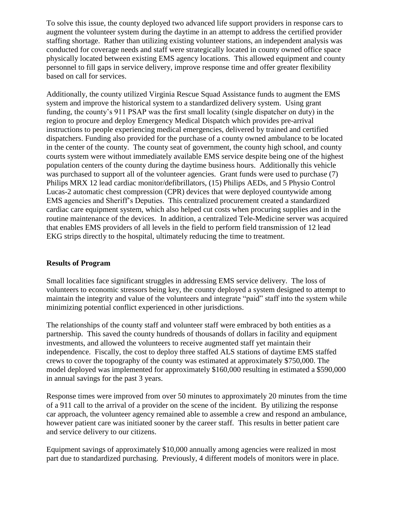To solve this issue, the county deployed two advanced life support providers in response cars to augment the volunteer system during the daytime in an attempt to address the certified provider staffing shortage. Rather than utilizing existing volunteer stations, an independent analysis was conducted for coverage needs and staff were strategically located in county owned office space physically located between existing EMS agency locations. This allowed equipment and county personnel to fill gaps in service delivery, improve response time and offer greater flexibility based on call for services.

Additionally, the county utilized Virginia Rescue Squad Assistance funds to augment the EMS system and improve the historical system to a standardized delivery system. Using grant funding, the county's 911 PSAP was the first small locality (single dispatcher on duty) in the region to procure and deploy Emergency Medical Dispatch which provides pre-arrival instructions to people experiencing medical emergencies, delivered by trained and certified dispatchers. Funding also provided for the purchase of a county owned ambulance to be located in the center of the county. The county seat of government, the county high school, and county courts system were without immediately available EMS service despite being one of the highest population centers of the county during the daytime business hours. Additionally this vehicle was purchased to support all of the volunteer agencies. Grant funds were used to purchase (7) Philips MRX 12 lead cardiac monitor/defibrillators, (15) Philips AEDs, and 5 Physio Control Lucas-2 automatic chest compression (CPR) devices that were deployed countywide among EMS agencies and Sheriff's Deputies. This centralized procurement created a standardized cardiac care equipment system, which also helped cut costs when procuring supplies and in the routine maintenance of the devices. In addition, a centralized Tele-Medicine server was acquired that enables EMS providers of all levels in the field to perform field transmission of 12 lead EKG strips directly to the hospital, ultimately reducing the time to treatment.

#### **Results of Program**

Small localities face significant struggles in addressing EMS service delivery. The loss of volunteers to economic stressors being key, the county deployed a system designed to attempt to maintain the integrity and value of the volunteers and integrate "paid" staff into the system while minimizing potential conflict experienced in other jurisdictions.

The relationships of the county staff and volunteer staff were embraced by both entities as a partnership. This saved the county hundreds of thousands of dollars in facility and equipment investments, and allowed the volunteers to receive augmented staff yet maintain their independence. Fiscally, the cost to deploy three staffed ALS stations of daytime EMS staffed crews to cover the topography of the county was estimated at approximately \$750,000. The model deployed was implemented for approximately \$160,000 resulting in estimated a \$590,000 in annual savings for the past 3 years.

Response times were improved from over 50 minutes to approximately 20 minutes from the time of a 911 call to the arrival of a provider on the scene of the incident. By utilizing the response car approach, the volunteer agency remained able to assemble a crew and respond an ambulance, however patient care was initiated sooner by the career staff. This results in better patient care and service delivery to our citizens.

Equipment savings of approximately \$10,000 annually among agencies were realized in most part due to standardized purchasing. Previously, 4 different models of monitors were in place.